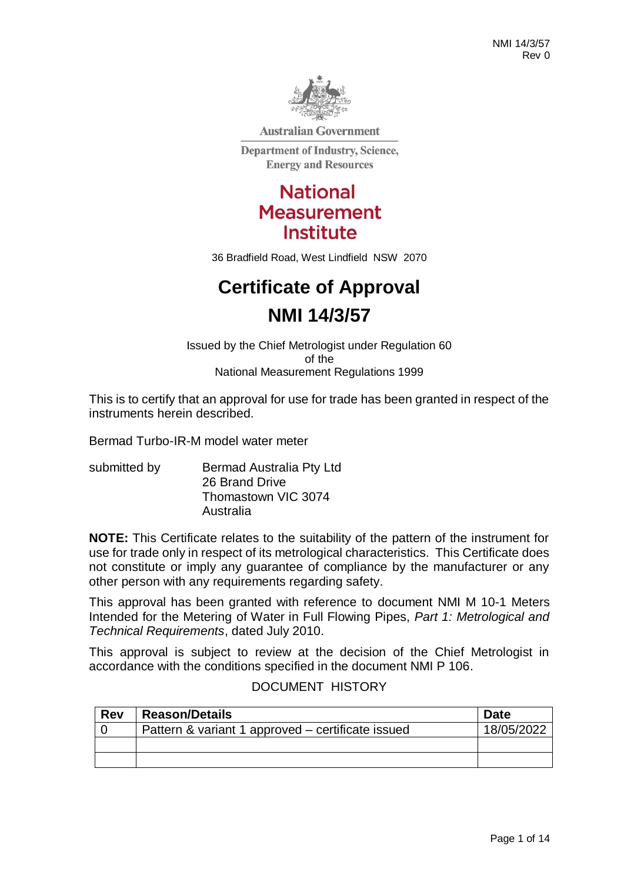

**Australian Government** 

**Department of Industry, Science, Energy and Resources** 

# **National Measurement Institute**

36 Bradfield Road, West Lindfield NSW 2070

# **Certificate of Approval NMI 14/3/57**

Issued by the Chief Metrologist under Regulation 60 of the National Measurement Regulations 1999

This is to certify that an approval for use for trade has been granted in respect of the instruments herein described.

Bermad Turbo-IR-M model water meter

submitted by **Bermad Australia Pty Ltd** 26 Brand Drive Thomastown VIC 3074 Australia

**NOTE:** This Certificate relates to the suitability of the pattern of the instrument for use for trade only in respect of its metrological characteristics. This Certificate does not constitute or imply any guarantee of compliance by the manufacturer or any other person with any requirements regarding safety.

This approval has been granted with reference to document NMI M 10-1 Meters Intended for the Metering of Water in Full Flowing Pipes, *Part 1: Metrological and Technical Requirements*, dated July 2010.

This approval is subject to review at the decision of the Chief Metrologist in accordance with the conditions specified in the document NMI P 106.

| <b>Rev</b> | <b>Reason/Details</b>                             | <b>Date</b> |
|------------|---------------------------------------------------|-------------|
|            | Pattern & variant 1 approved – certificate issued | 18/05/2022  |
|            |                                                   |             |
|            |                                                   |             |

#### DOCUMENT HISTORY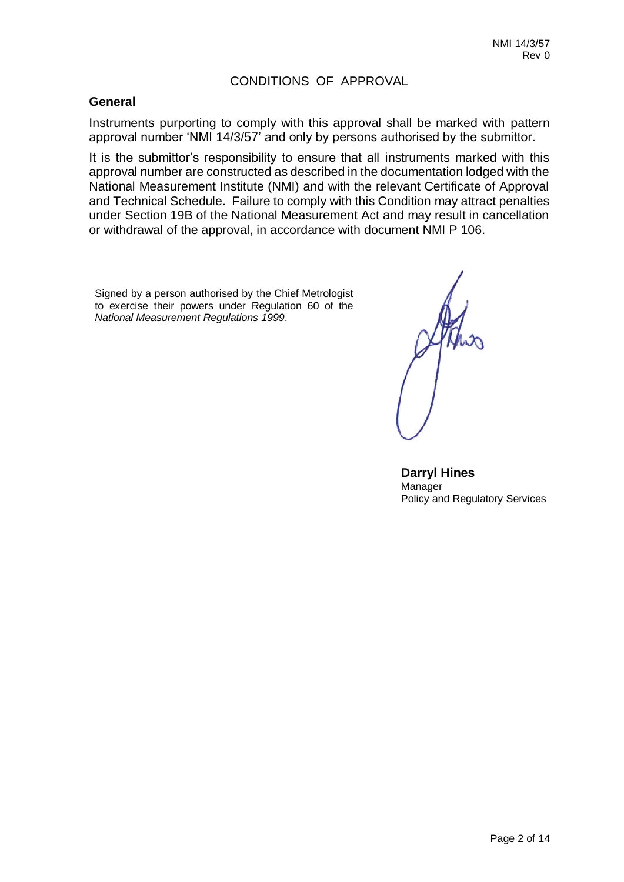#### CONDITIONS OF APPROVAL

#### **General**

Instruments purporting to comply with this approval shall be marked with pattern approval number 'NMI 14/3/57' and only by persons authorised by the submittor.

It is the submittor's responsibility to ensure that all instruments marked with this approval number are constructed as described in the documentation lodged with the National Measurement Institute (NMI) and with the relevant Certificate of Approval and Technical Schedule. Failure to comply with this Condition may attract penalties under Section 19B of the National Measurement Act and may result in cancellation or withdrawal of the approval, in accordance with document NMI P 106.

Signed by a person authorised by the Chief Metrologist to exercise their powers under Regulation 60 of the *National Measurement Regulations 1999*.

**Darryl Hines Manager** Policy and Regulatory Services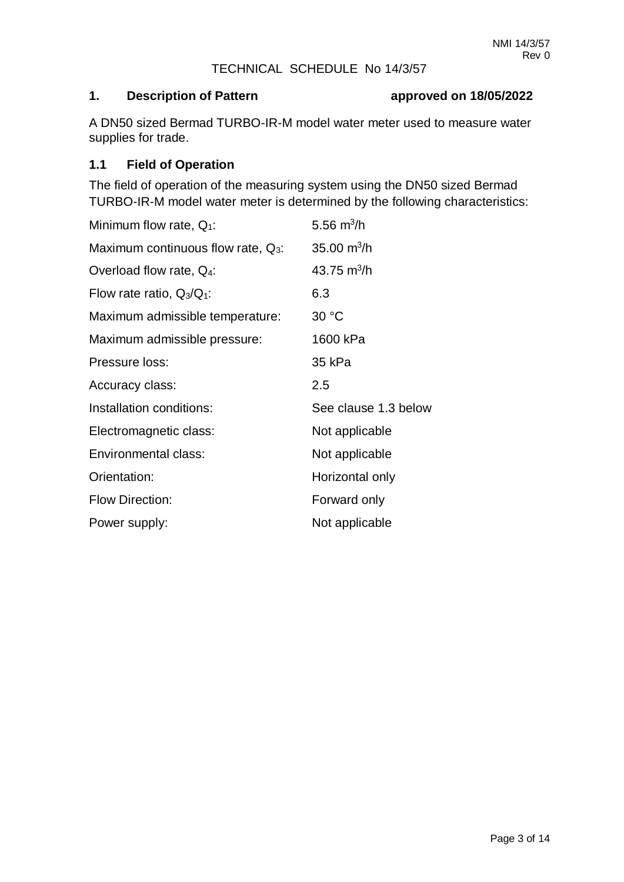#### TECHNICAL SCHEDULE No 14/3/57

# **1. Description of Pattern approved on 18/05/2022**

A DN50 sized Bermad TURBO-IR-M model water meter used to measure water supplies for trade.

#### **1.1 Field of Operation**

The field of operation of the measuring system using the DN50 sized Bermad TURBO-IR-M model water meter is determined by the following characteristics:

| Minimum flow rate, $Q_1$ :            | 5.56 $m^3/h$         |  |
|---------------------------------------|----------------------|--|
| Maximum continuous flow rate, $Q_3$ : | 35.00 $m^3/h$        |  |
| Overload flow rate, Q <sub>4</sub> :  | 43.75 $m^3/h$        |  |
| Flow rate ratio, $Q_3/Q_1$ :          | 6.3                  |  |
| Maximum admissible temperature:       | 30 °C                |  |
| Maximum admissible pressure:          | 1600 kPa             |  |
| Pressure loss:                        | 35 kPa               |  |
| Accuracy class:                       | 2.5                  |  |
| Installation conditions:              | See clause 1.3 below |  |
| Electromagnetic class:                | Not applicable       |  |
| Environmental class:                  | Not applicable       |  |
| Orientation:                          | Horizontal only      |  |
| <b>Flow Direction:</b>                | Forward only         |  |
| Power supply:                         | Not applicable       |  |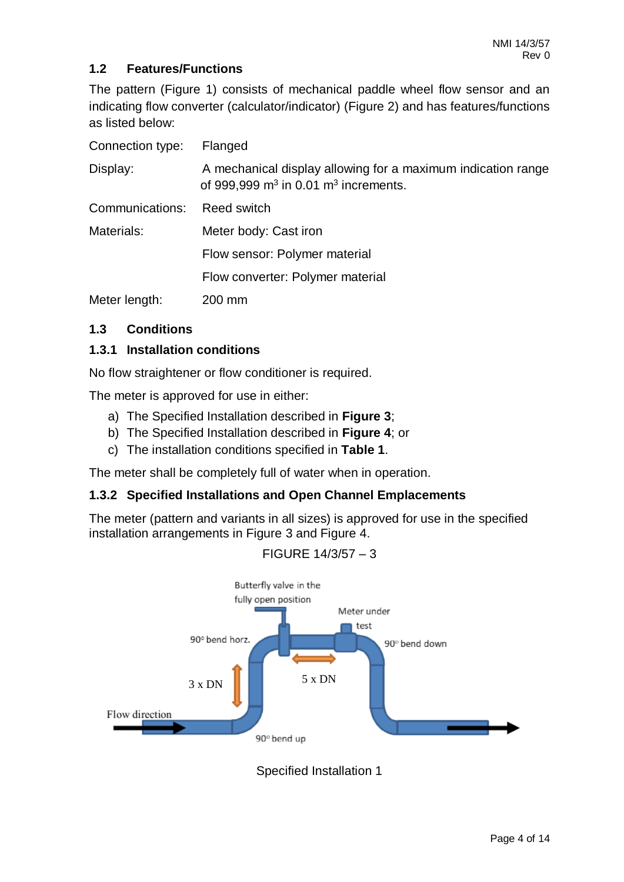# **1.2 Features/Functions**

The pattern (Figure 1) consists of mechanical paddle wheel flow sensor and an indicating flow converter (calculator/indicator) (Figure 2) and has features/functions as listed below:

| Connection type: | Flanged                                                                                                  |
|------------------|----------------------------------------------------------------------------------------------------------|
| Display:         | A mechanical display allowing for a maximum indication range<br>of 999,999 $m3$ in 0.01 $m3$ increments. |
| Communications:  | Reed switch                                                                                              |
| Materials:       | Meter body: Cast iron                                                                                    |
|                  | Flow sensor: Polymer material                                                                            |
|                  | Flow converter: Polymer material                                                                         |
| Meter length:    | 200 mm                                                                                                   |

# **1.3 Conditions**

# **1.3.1 Installation conditions**

No flow straightener or flow conditioner is required.

The meter is approved for use in either:

- a) The Specified Installation described in **Figure 3**;
- b) The Specified Installation described in **Figure 4**; or
- c) The installation conditions specified in **Table 1**.

The meter shall be completely full of water when in operation.

#### **1.3.2 Specified Installations and Open Channel Emplacements**

The meter (pattern and variants in all sizes) is approved for use in the specified installation arrangements in Figure 3 and Figure 4.





# Specified Installation 1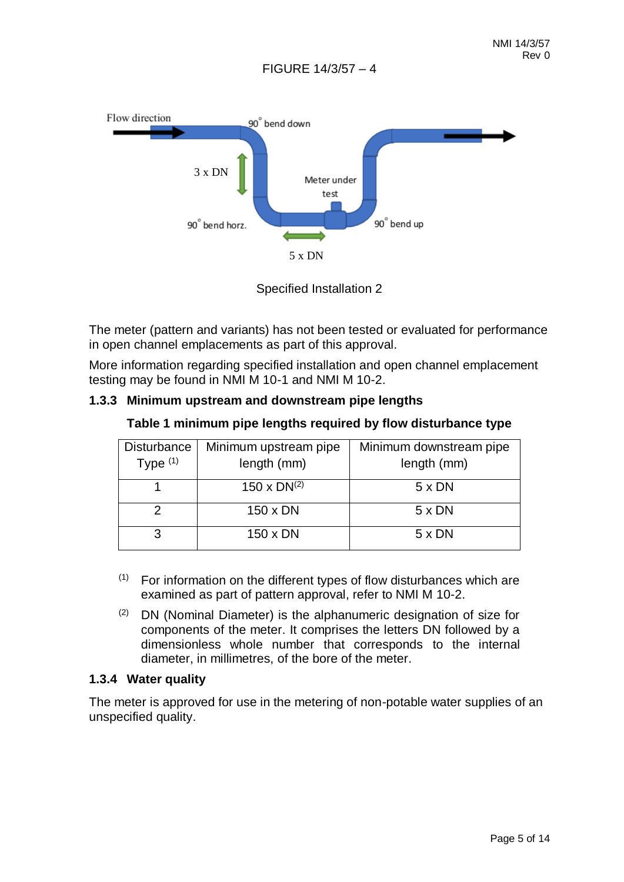

Specified Installation 2

The meter (pattern and variants) has not been tested or evaluated for performance in open channel emplacements as part of this approval.

More information regarding specified installation and open channel emplacement testing may be found in NMI M 10-1 and NMI M 10-2.

#### **1.3.3 Minimum upstream and downstream pipe lengths**

**Table 1 minimum pipe lengths required by flow disturbance type**

| <b>Disturbance</b><br>Type $(1)$ | Minimum upstream pipe<br>length (mm) | Minimum downstream pipe<br>length (mm) |
|----------------------------------|--------------------------------------|----------------------------------------|
|                                  | $150 \times DN^{(2)}$                | $5 \times DN$                          |
|                                  | 150 x DN                             | $5 \times DN$                          |
|                                  | 150 x DN                             | $5 \times DN$                          |

- $(1)$  For information on the different types of flow disturbances which are examined as part of pattern approval, refer to NMI M 10-2.
- $(2)$  DN (Nominal Diameter) is the alphanumeric designation of size for components of the meter. It comprises the letters DN followed by a dimensionless whole number that corresponds to the internal diameter, in millimetres, of the bore of the meter.

#### **1.3.4 Water quality**

The meter is approved for use in the metering of non-potable water supplies of an unspecified quality.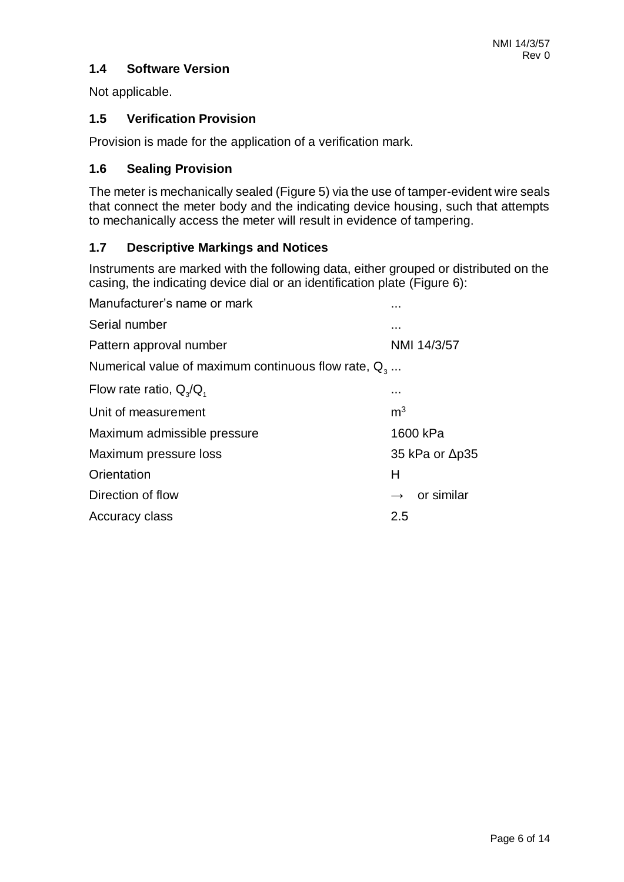# **1.4 Software Version**

Not applicable.

#### **1.5 Verification Provision**

Provision is made for the application of a verification mark.

### **1.6 Sealing Provision**

The meter is mechanically sealed (Figure 5) via the use of tamper-evident wire seals that connect the meter body and the indicating device housing, such that attempts to mechanically access the meter will result in evidence of tampering.

# **1.7 Descriptive Markings and Notices**

Instruments are marked with the following data, either grouped or distributed on the casing, the indicating device dial or an identification plate (Figure 6):

| Manufacturer's name or mark                            |                             |  |  |
|--------------------------------------------------------|-----------------------------|--|--|
| Serial number                                          |                             |  |  |
| Pattern approval number                                | NMI 14/3/57                 |  |  |
| Numerical value of maximum continuous flow rate, $Q_3$ |                             |  |  |
| Flow rate ratio, $Q_{\rm q}/Q_{\rm q}$                 |                             |  |  |
| Unit of measurement                                    | m <sup>3</sup>              |  |  |
| Maximum admissible pressure                            | 1600 kPa                    |  |  |
| Maximum pressure loss                                  | 35 kPa or $\Delta p35$      |  |  |
| Orientation                                            | Н                           |  |  |
| Direction of flow                                      | or similar<br>$\rightarrow$ |  |  |
| Accuracy class                                         | 2.5                         |  |  |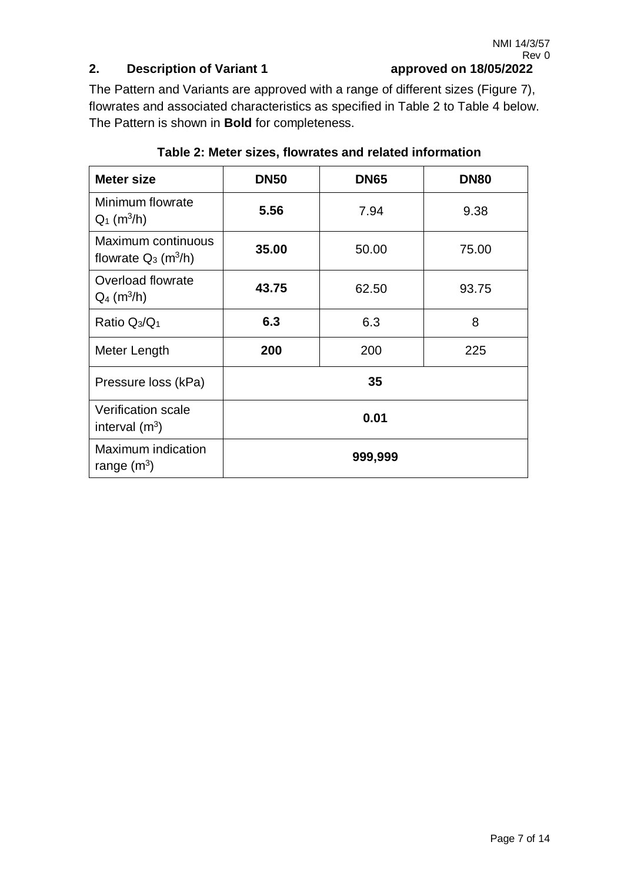# **2. Description of Variant 1 approved on 18/05/2022**

The Pattern and Variants are approved with a range of different sizes (Figure 7), flowrates and associated characteristics as specified in Table 2 to Table 4 below. The Pattern is shown in **Bold** for completeness.

| <b>Meter size</b>                                        | <b>DN50</b> | <b>DN65</b> | <b>DN80</b> |
|----------------------------------------------------------|-------------|-------------|-------------|
| Minimum flowrate<br>$Q_1$ (m <sup>3</sup> /h)            | 5.56        | 7.94        | 9.38        |
| Maximum continuous<br>flowrate $Q_3$ (m <sup>3</sup> /h) | 35.00       | 50.00       | 75.00       |
| Overload flowrate<br>$Q_4$ (m <sup>3</sup> /h)           | 43.75       | 62.50       | 93.75       |
| Ratio $Q_3/Q_1$                                          | 6.3         | 6.3         | 8           |
| Meter Length                                             | 200         | 200         | 225         |
| Pressure loss (kPa)                                      | 35          |             |             |
| <b>Verification scale</b><br>interval $(m^3)$            | 0.01        |             |             |
| Maximum indication<br>range $(m^3)$                      | 999,999     |             |             |

# **Table 2: Meter sizes, flowrates and related information**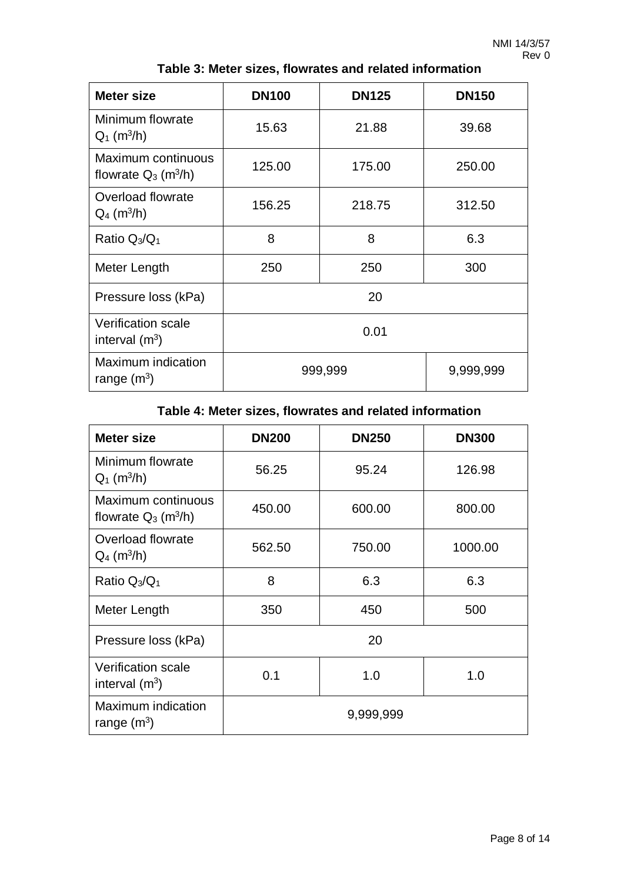| <b>Meter size</b>                                        | <b>DN100</b>         | <b>DN125</b> | <b>DN150</b> |  |
|----------------------------------------------------------|----------------------|--------------|--------------|--|
| Minimum flowrate<br>$Q_1$ (m <sup>3</sup> /h)            | 15.63                | 21.88        | 39.68        |  |
| Maximum continuous<br>flowrate $Q_3$ (m <sup>3</sup> /h) | 125.00               | 175.00       | 250.00       |  |
| Overload flowrate<br>$Q_4$ (m <sup>3</sup> /h)           | 156.25               | 218.75       | 312.50       |  |
| Ratio $Q_3/Q_1$                                          | 8                    | 8            | 6.3          |  |
| Meter Length                                             | 250                  | 250          | 300          |  |
| Pressure loss (kPa)                                      | 20                   |              |              |  |
| <b>Verification scale</b><br>interval $(m^3)$            | 0.01                 |              |              |  |
| Maximum indication<br>range $(m^3)$                      | 999,999<br>9,999,999 |              |              |  |

**Table 3: Meter sizes, flowrates and related information**

# **Table 4: Meter sizes, flowrates and related information**

| <b>Meter size</b>                                        | <b>DN200</b> | <b>DN250</b> | <b>DN300</b> |
|----------------------------------------------------------|--------------|--------------|--------------|
| Minimum flowrate<br>$Q_1$ (m <sup>3</sup> /h)            | 56.25        | 95.24        | 126.98       |
| Maximum continuous<br>flowrate $Q_3$ (m <sup>3</sup> /h) | 450.00       | 600.00       | 800.00       |
| Overload flowrate<br>$Q_4$ (m <sup>3</sup> /h)           | 562.50       | 750.00       | 1000.00      |
| Ratio $Q_3/Q_1$                                          | 8            | 6.3          | 6.3          |
| Meter Length                                             | 350          | 450          | 500          |
| Pressure loss (kPa)                                      | 20           |              |              |
| <b>Verification scale</b><br>interval $(m^3)$            | 0.1          | 1.0          | 1.0          |
| Maximum indication<br>range $(m^3)$                      |              | 9,999,999    |              |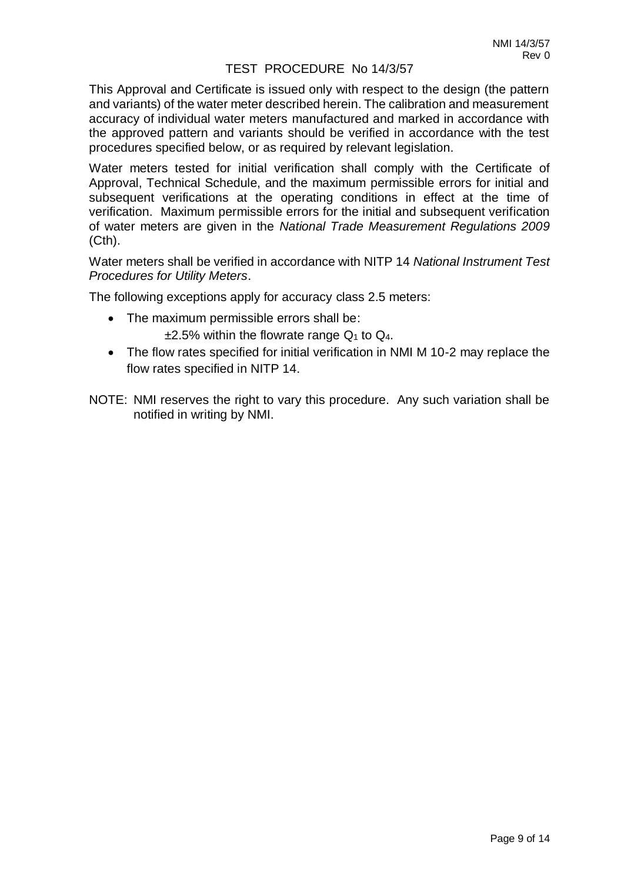#### TEST PROCEDURE No 14/3/57

This Approval and Certificate is issued only with respect to the design (the pattern and variants) of the water meter described herein. The calibration and measurement accuracy of individual water meters manufactured and marked in accordance with the approved pattern and variants should be verified in accordance with the test procedures specified below, or as required by relevant legislation.

Water meters tested for initial verification shall comply with the Certificate of Approval, Technical Schedule, and the maximum permissible errors for initial and subsequent verifications at the operating conditions in effect at the time of verification. Maximum permissible errors for the initial and subsequent verification of water meters are given in the *National Trade Measurement Regulations 2009* (Cth).

Water meters shall be verified in accordance with NITP 14 *National Instrument Test Procedures for Utility Meters*.

The following exceptions apply for accuracy class 2.5 meters:

- The maximum permissible errors shall be:  $\pm$ 2.5% within the flowrate range  $Q_1$  to  $Q_4$ .
- The flow rates specified for initial verification in NMI M 10-2 may replace the flow rates specified in NITP 14.
- NOTE: NMI reserves the right to vary this procedure. Any such variation shall be notified in writing by NMI.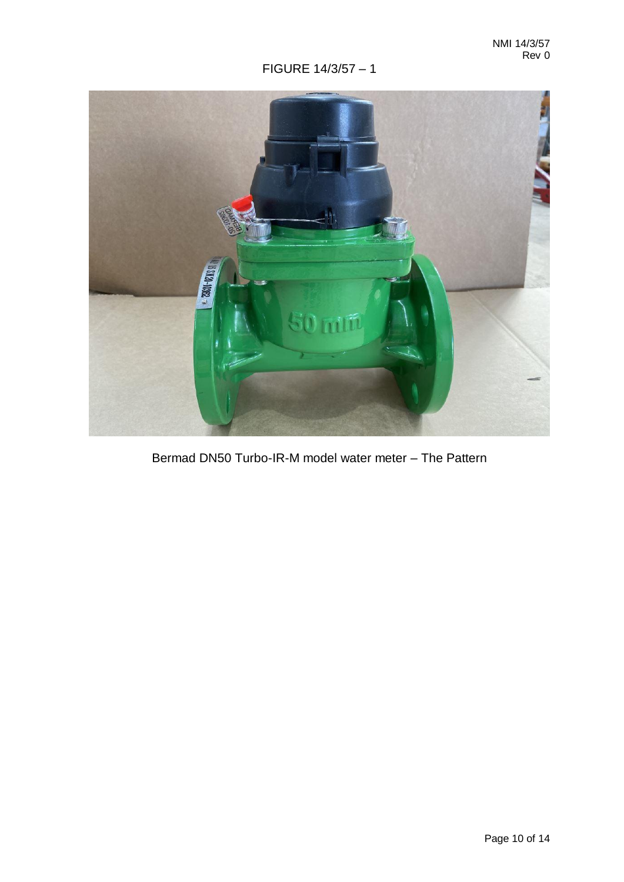

Bermad DN50 Turbo-IR-M model water meter – The Pattern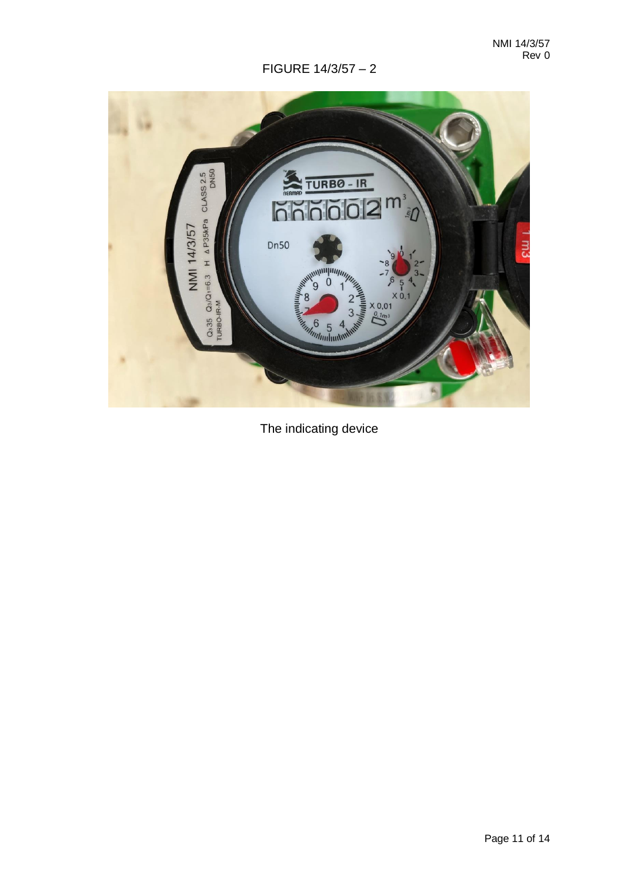

The indicating device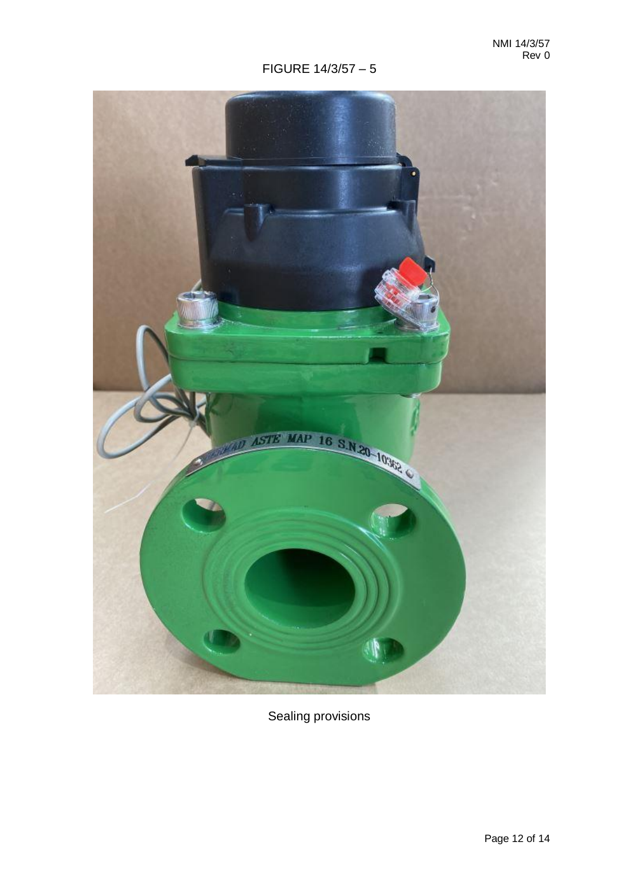

Sealing provisions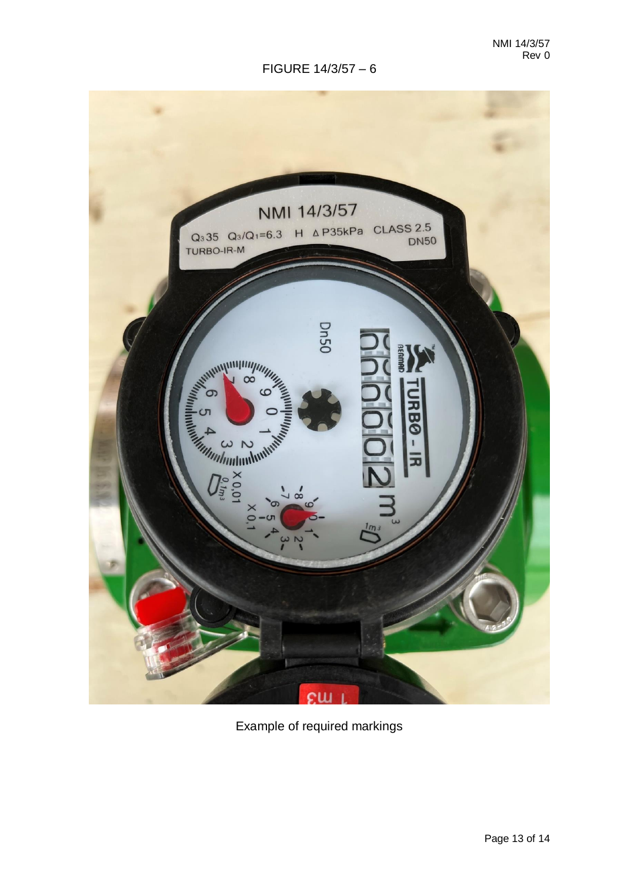

Example of required markings